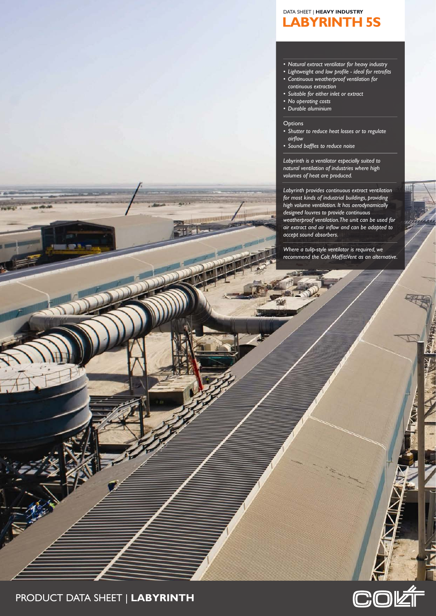# **LABYRINTH 5S** DATA SHEET | **HEAVY INDUSTRY**

### *• Natural extract ventilator for heavy industry*

- *• Lightweight and low profile - ideal for retrofits*
- *• Continuous weatherproof ventilation for continuous extraction*
- *• Suitable for either inlet or extract*
- *• No operating costs*
- *• Durable aluminium*

#### **Options**

- *• Shutter to reduce heat losses or to regulate airflow*
- *• Sound baffles to reduce noise*

*Labyrinth is a ventilator especially suited to natural ventilation of industries where high volumes of heat are produced.*

*Labyrinth provides continuous extract ventilation for most kinds of industrial buildings, providing high volume ventilation. It has aerodynamically designed louvres to provide continuous weatherproof ventilation.The unit can be used for air extract and air inflow and can be adapted to accept sound absorbers.*

*Where a tulip-style ventilator is required, we recommend the Colt MoffittVent as an alternative.*